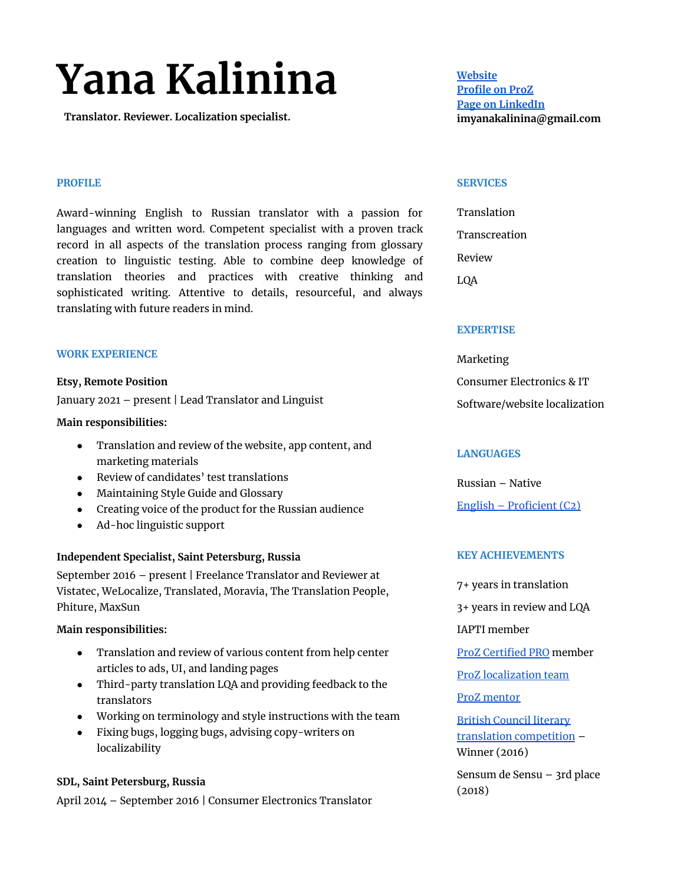# **Yana Kalinina**

**Translator. Reviewer. Localization specialist.**

### **PROFILE**

Award-winning English to Russian translator with a passion for languages and written word. Competent specialist with a proven track record in all aspects of the translation process ranging from glossary creation to linguistic testing. Able to combine deep knowledge of translation theories and practices with creative thinking and sophisticated writing. Attentive to details, resourceful, and always translating with future readers in mind.

#### **WORK EXPERIENCE**

#### **Etsy, Remote Position**

January 2021 – present | Lead Translator and Linguist

#### **Main responsibilities:**

- Translation and review of the website, app content, and marketing materials
- Review of candidates' test translations
- Maintaining Style Guide and Glossary
- Creating voice of the product for the Russian audience
- Ad-hoc linguistic support

## **Independent Specialist, Saint Petersburg, Russia**

September 2016 – present | Freelance Translator and Reviewer at Vistatec, WeLocalize, Translated, Moravia, The Translation People, Phiture, MaxSun

## **Main responsibilities:**

- Translation and review of various content from help center articles to ads, UI, and landing pages
- Third-party translation LQA and providing feedback to the translators
- Working on terminology and style instructions with the team
- Fixing bugs, logging bugs, advising copy-writers on localizability

## **SDL, Saint Petersburg, Russia**

April 2014 – September 2016 | Consumer Electronics Translator

**[Website](https://ykln.tilda.ws/) [Profile](http://www.proz.com/translator/2232575) on ProZ Page on [LinkedIn](https://www.linkedin.com/in/yana-kalinina/) imyanakalinina@gmail.com**

#### **SERVICES**

| Translation   |
|---------------|
| Transcreation |
| Review        |
| LQA           |

#### **EXPERTISE**

Marketing Consumer Electronics & IT Software/website localization

## **LANGUAGES**

Russian – Native English – [Proficient](https://www.efset.org/cert/jJdLBY) (C2)

## **KEY ACHIEVEMENTS**

7+ years in translation 3+ years in review and LQA IAPTI member ProZ [Certified](https://cfcdn.proz.com/certificates/pro/pro_certificate_2232575.jpg) PRO member ProZ [localization](https://www.proz.com/?sp=localization&sp_mode=meet_the_localizers) team ProZ [mentor](https://www.proz.com/pools/mentors/profile/51349340) British [Council](https://www.britishcouncil.ru/en/events/translation-competition) literary translation [competition](https://www.britishcouncil.ru/en/events/translation-competition) – Winner (2016)

Sensum de Sensu – 3rd place (2018)